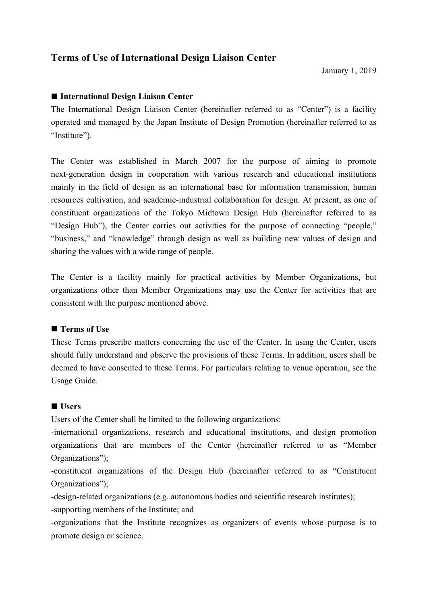# **Terms of Use of International Design Liaison Center**

# ■ International Design Liaison Center

The International Design Liaison Center (hereinafter referred to as "Center") is a facility operated and managed by the Japan Institute of Design Promotion (hereinafter referred to as "Institute").

The Center was established in March 2007 for the purpose of aiming to promote next-generation design in cooperation with various research and educational institutions mainly in the field of design as an international base for information transmission, human resources cultivation, and academic-industrial collaboration for design. At present, as one of constituent organizations of the Tokyo Midtown Design Hub (hereinafter referred to as "Design Hub"), the Center carries out activities for the purpose of connecting "people," "business," and "knowledge" through design as well as building new values of design and sharing the values with a wide range of people.

The Center is a facility mainly for practical activities by Member Organizations, but organizations other than Member Organizations may use the Center for activities that are consistent with the purpose mentioned above.

## ■ **Terms of Use**

These Terms prescribe matters concerning the use of the Center. In using the Center, users should fully understand and observe the provisions of these Terms. In addition, users shall be deemed to have consented to these Terms. For particulars relating to venue operation, see the Usage Guide.

## n **Users**

Users of the Center shall be limited to the following organizations:

-international organizations, research and educational institutions, and design promotion organizations that are members of the Center (hereinafter referred to as "Member Organizations");

-constituent organizations of the Design Hub (hereinafter referred to as "Constituent Organizations");

-design-related organizations (e.g. autonomous bodies and scientific research institutes);

-supporting members of the Institute; and

-organizations that the Institute recognizes as organizers of events whose purpose is to promote design or science.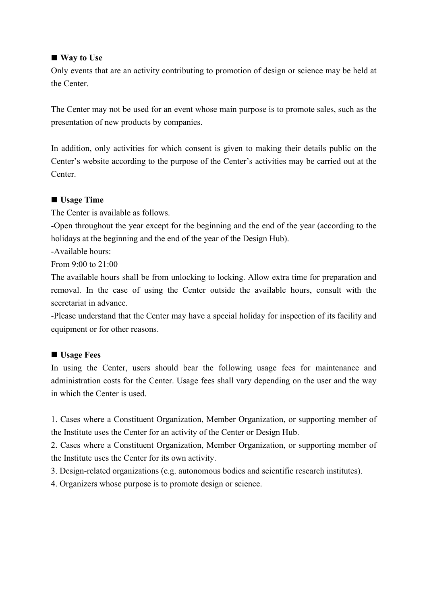## ■ **Way to Use**

Only events that are an activity contributing to promotion of design or science may be held at the Center.

The Center may not be used for an event whose main purpose is to promote sales, such as the presentation of new products by companies.

In addition, only activities for which consent is given to making their details public on the Center's website according to the purpose of the Center's activities may be carried out at the Center.

## ■ **Usage Time**

The Center is available as follows.

-Open throughout the year except for the beginning and the end of the year (according to the holidays at the beginning and the end of the year of the Design Hub).

-Available hours:

From 9:00 to 21:00

The available hours shall be from unlocking to locking. Allow extra time for preparation and removal. In the case of using the Center outside the available hours, consult with the secretariat in advance.

-Please understand that the Center may have a special holiday for inspection of its facility and equipment or for other reasons.

## ■ **Usage Fees**

In using the Center, users should bear the following usage fees for maintenance and administration costs for the Center. Usage fees shall vary depending on the user and the way in which the Center is used.

1. Cases where a Constituent Organization, Member Organization, or supporting member of the Institute uses the Center for an activity of the Center or Design Hub.

2. Cases where a Constituent Organization, Member Organization, or supporting member of the Institute uses the Center for its own activity.

3. Design-related organizations (e.g. autonomous bodies and scientific research institutes).

4. Organizers whose purpose is to promote design or science.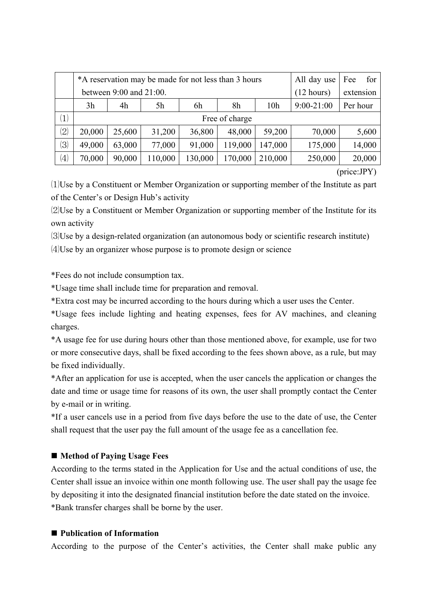|                   |                | *A reservation may be made for not less than 3 hours | All day use          | for<br>Fee |         |         |         |        |  |  |  |  |
|-------------------|----------------|------------------------------------------------------|----------------------|------------|---------|---------|---------|--------|--|--|--|--|
|                   |                | between 9:00 and 21:00.                              | $(12 \text{ hours})$ | extension  |         |         |         |        |  |  |  |  |
|                   | 3h             | 4h                                                   | $9:00-21:00$         | Per hour   |         |         |         |        |  |  |  |  |
| $\left( 1\right)$ | Free of charge |                                                      |                      |            |         |         |         |        |  |  |  |  |
| $\left( 2\right)$ | 20,000         | 25,600                                               | 31,200               | 36,800     | 48,000  | 59,200  | 70,000  | 5,600  |  |  |  |  |
| (3)               | 49,000         | 63,000                                               | 77,000               | 91,000     | 119,000 | 147,000 | 175,000 | 14,000 |  |  |  |  |
| $\left( 4\right)$ | 70,000         | 90,000                                               | 110,000              | 130,000    | 170,000 | 210,000 | 250,000 | 20,000 |  |  |  |  |

(price:JPY)

⑴Use by a Constituent or Member Organization or supporting member of the Institute as part of the Center's or Design Hub's activity

⑵Use by a Constituent or Member Organization or supporting member of the Institute for its own activity

⑶Use by a design-related organization (an autonomous body or scientific research institute) ⑷Use by an organizer whose purpose is to promote design or science

\*Fees do not include consumption tax.

\*Usage time shall include time for preparation and removal.

\*Extra cost may be incurred according to the hours during which a user uses the Center.

\*Usage fees include lighting and heating expenses, fees for AV machines, and cleaning charges.

\*A usage fee for use during hours other than those mentioned above, for example, use for two or more consecutive days, shall be fixed according to the fees shown above, as a rule, but may be fixed individually.

\*After an application for use is accepted, when the user cancels the application or changes the date and time or usage time for reasons of its own, the user shall promptly contact the Center by e-mail or in writing.

\*If a user cancels use in a period from five days before the use to the date of use, the Center shall request that the user pay the full amount of the usage fee as a cancellation fee.

# ■ Method of Paying Usage Fees

According to the terms stated in the Application for Use and the actual conditions of use, the Center shall issue an invoice within one month following use. The user shall pay the usage fee by depositing it into the designated financial institution before the date stated on the invoice. \*Bank transfer charges shall be borne by the user.

## ■ Publication of Information

According to the purpose of the Center's activities, the Center shall make public any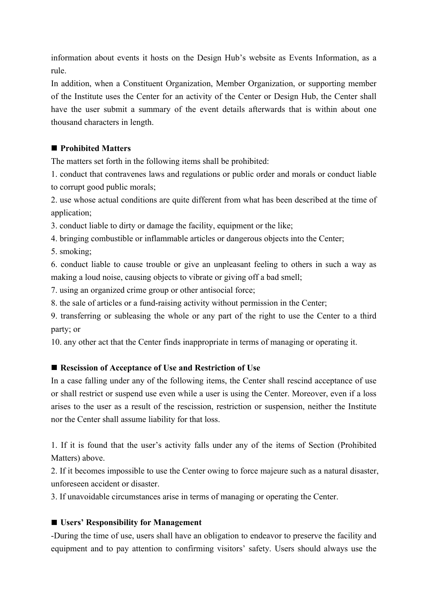information about events it hosts on the Design Hub's website as Events Information, as a rule.

In addition, when a Constituent Organization, Member Organization, or supporting member of the Institute uses the Center for an activity of the Center or Design Hub, the Center shall have the user submit a summary of the event details afterwards that is within about one thousand characters in length.

# ■ **Prohibited Matters**

The matters set forth in the following items shall be prohibited:

1. conduct that contravenes laws and regulations or public order and morals or conduct liable to corrupt good public morals;

2. use whose actual conditions are quite different from what has been described at the time of application;

3. conduct liable to dirty or damage the facility, equipment or the like;

4. bringing combustible or inflammable articles or dangerous objects into the Center;

5. smoking;

6. conduct liable to cause trouble or give an unpleasant feeling to others in such a way as making a loud noise, causing objects to vibrate or giving off a bad smell;

7. using an organized crime group or other antisocial force;

8. the sale of articles or a fund-raising activity without permission in the Center;

9. transferring or subleasing the whole or any part of the right to use the Center to a third party; or

10. any other act that the Center finds inappropriate in terms of managing or operating it.

# ■ Rescission of Acceptance of Use and Restriction of Use

In a case falling under any of the following items, the Center shall rescind acceptance of use or shall restrict or suspend use even while a user is using the Center. Moreover, even if a loss arises to the user as a result of the rescission, restriction or suspension, neither the Institute nor the Center shall assume liability for that loss.

1. If it is found that the user's activity falls under any of the items of Section (Prohibited Matters) above.

2. If it becomes impossible to use the Center owing to force majeure such as a natural disaster, unforeseen accident or disaster.

3. If unavoidable circumstances arise in terms of managing or operating the Center.

## ■ Users' Responsibility for Management

-During the time of use, users shall have an obligation to endeavor to preserve the facility and equipment and to pay attention to confirming visitors' safety. Users should always use the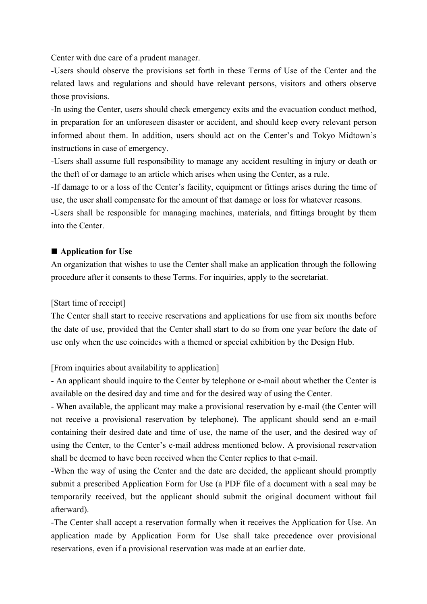Center with due care of a prudent manager.

-Users should observe the provisions set forth in these Terms of Use of the Center and the related laws and regulations and should have relevant persons, visitors and others observe those provisions.

-In using the Center, users should check emergency exits and the evacuation conduct method, in preparation for an unforeseen disaster or accident, and should keep every relevant person informed about them. In addition, users should act on the Center's and Tokyo Midtown's instructions in case of emergency.

-Users shall assume full responsibility to manage any accident resulting in injury or death or the theft of or damage to an article which arises when using the Center, as a rule.

-If damage to or a loss of the Center's facility, equipment or fittings arises during the time of use, the user shall compensate for the amount of that damage or loss for whatever reasons.

-Users shall be responsible for managing machines, materials, and fittings brought by them into the Center.

### $\blacksquare$  Application for Use

An organization that wishes to use the Center shall make an application through the following procedure after it consents to these Terms. For inquiries, apply to the secretariat.

### [Start time of receipt]

The Center shall start to receive reservations and applications for use from six months before the date of use, provided that the Center shall start to do so from one year before the date of use only when the use coincides with a themed or special exhibition by the Design Hub.

## [From inquiries about availability to application]

- An applicant should inquire to the Center by telephone or e-mail about whether the Center is available on the desired day and time and for the desired way of using the Center.

- When available, the applicant may make a provisional reservation by e-mail (the Center will not receive a provisional reservation by telephone). The applicant should send an e-mail containing their desired date and time of use, the name of the user, and the desired way of using the Center, to the Center's e-mail address mentioned below. A provisional reservation shall be deemed to have been received when the Center replies to that e-mail.

-When the way of using the Center and the date are decided, the applicant should promptly submit a prescribed Application Form for Use (a PDF file of a document with a seal may be temporarily received, but the applicant should submit the original document without fail afterward).

-The Center shall accept a reservation formally when it receives the Application for Use. An application made by Application Form for Use shall take precedence over provisional reservations, even if a provisional reservation was made at an earlier date.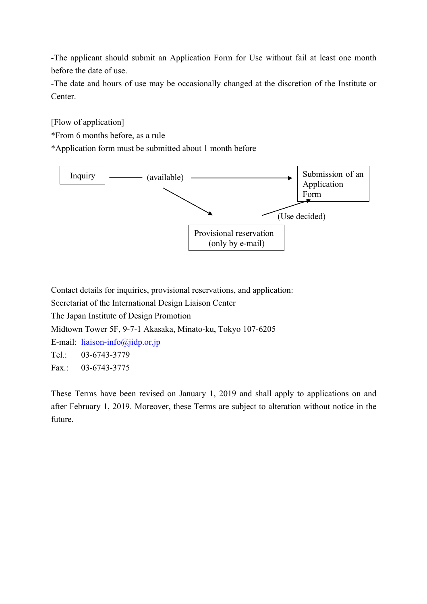-The applicant should submit an Application Form for Use without fail at least one month before the date of use.

-The date and hours of use may be occasionally changed at the discretion of the Institute or Center.

[Flow of application]

\*From 6 months before, as a rule

\*Application form must be submitted about 1 month before



Contact details for inquiries, provisional reservations, and application: Secretariat of the International Design Liaison Center The Japan Institute of Design Promotion Midtown Tower 5F, 9-7-1 Akasaka, Minato-ku, Tokyo 107-6205 E-mail: liaison-info@jidp.or.jp Tel.: 03-6743-3779 Fax.: 03-6743-3775

These Terms have been revised on January 1, 2019 and shall apply to applications on and after February 1, 2019. Moreover, these Terms are subject to alteration without notice in the future.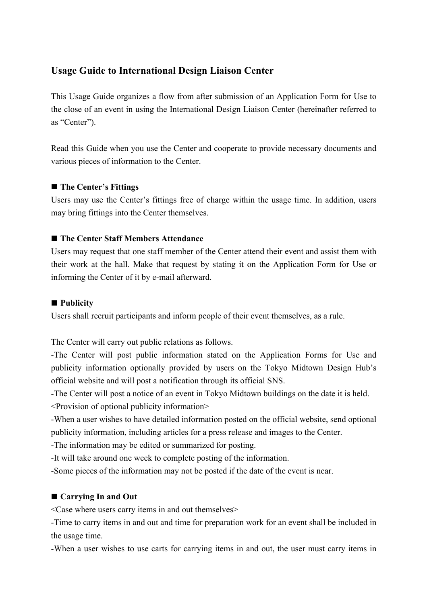# **Usage Guide to International Design Liaison Center**

This Usage Guide organizes a flow from after submission of an Application Form for Use to the close of an event in using the International Design Liaison Center (hereinafter referred to as "Center").

Read this Guide when you use the Center and cooperate to provide necessary documents and various pieces of information to the Center.

# ■ The Center's Fittings

Users may use the Center's fittings free of charge within the usage time. In addition, users may bring fittings into the Center themselves.

# ■ The Center Staff Members Attendance

Users may request that one staff member of the Center attend their event and assist them with their work at the hall. Make that request by stating it on the Application Form for Use or informing the Center of it by e-mail afterward.

## ■ **Publicity**

Users shall recruit participants and inform people of their event themselves, as a rule.

The Center will carry out public relations as follows.

-The Center will post public information stated on the Application Forms for Use and publicity information optionally provided by users on the Tokyo Midtown Design Hub's official website and will post a notification through its official SNS.

-The Center will post a notice of an event in Tokyo Midtown buildings on the date it is held. <Provision of optional publicity information>

-When a user wishes to have detailed information posted on the official website, send optional publicity information, including articles for a press release and images to the Center.

-The information may be edited or summarized for posting.

-It will take around one week to complete posting of the information.

-Some pieces of the information may not be posted if the date of the event is near.

# ■ Carrying In and Out

<Case where users carry items in and out themselves>

-Time to carry items in and out and time for preparation work for an event shall be included in the usage time.

-When a user wishes to use carts for carrying items in and out, the user must carry items in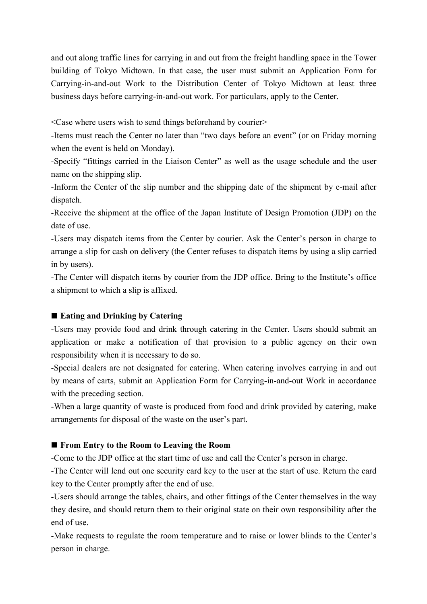and out along traffic lines for carrying in and out from the freight handling space in the Tower building of Tokyo Midtown. In that case, the user must submit an Application Form for Carrying-in-and-out Work to the Distribution Center of Tokyo Midtown at least three business days before carrying-in-and-out work. For particulars, apply to the Center.

 $\leq$ Case where users wish to send things beforehand by courier $\geq$ 

-Items must reach the Center no later than "two days before an event" (or on Friday morning when the event is held on Monday).

-Specify "fittings carried in the Liaison Center" as well as the usage schedule and the user name on the shipping slip.

-Inform the Center of the slip number and the shipping date of the shipment by e-mail after dispatch.

-Receive the shipment at the office of the Japan Institute of Design Promotion (JDP) on the date of use.

-Users may dispatch items from the Center by courier. Ask the Center's person in charge to arrange a slip for cash on delivery (the Center refuses to dispatch items by using a slip carried in by users).

-The Center will dispatch items by courier from the JDP office. Bring to the Institute's office a shipment to which a slip is affixed.

# ■ Eating and Drinking by Catering

-Users may provide food and drink through catering in the Center. Users should submit an application or make a notification of that provision to a public agency on their own responsibility when it is necessary to do so.

-Special dealers are not designated for catering. When catering involves carrying in and out by means of carts, submit an Application Form for Carrying-in-and-out Work in accordance with the preceding section.

-When a large quantity of waste is produced from food and drink provided by catering, make arrangements for disposal of the waste on the user's part.

# ■ From Entry to the Room to Leaving the Room

-Come to the JDP office at the start time of use and call the Center's person in charge.

-The Center will lend out one security card key to the user at the start of use. Return the card key to the Center promptly after the end of use.

-Users should arrange the tables, chairs, and other fittings of the Center themselves in the way they desire, and should return them to their original state on their own responsibility after the end of use.

-Make requests to regulate the room temperature and to raise or lower blinds to the Center's person in charge.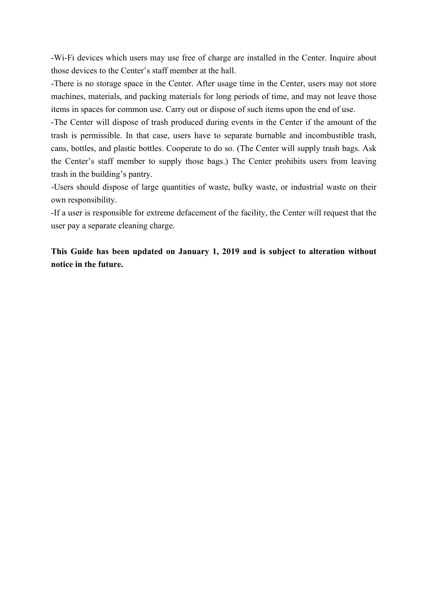-Wi-Fi devices which users may use free of charge are installed in the Center. Inquire about those devices to the Center's staff member at the hall.

-There is no storage space in the Center. After usage time in the Center, users may not store machines, materials, and packing materials for long periods of time, and may not leave those items in spaces for common use. Carry out or dispose of such items upon the end of use.

-The Center will dispose of trash produced during events in the Center if the amount of the trash is permissible. In that case, users have to separate burnable and incombustible trash, cans, bottles, and plastic bottles. Cooperate to do so. (The Center will supply trash bags. Ask the Center's staff member to supply those bags.) The Center prohibits users from leaving trash in the building's pantry.

-Users should dispose of large quantities of waste, bulky waste, or industrial waste on their own responsibility.

-If a user is responsible for extreme defacement of the facility, the Center will request that the user pay a separate cleaning charge.

**This Guide has been updated on January 1, 2019 and is subject to alteration without notice in the future.**